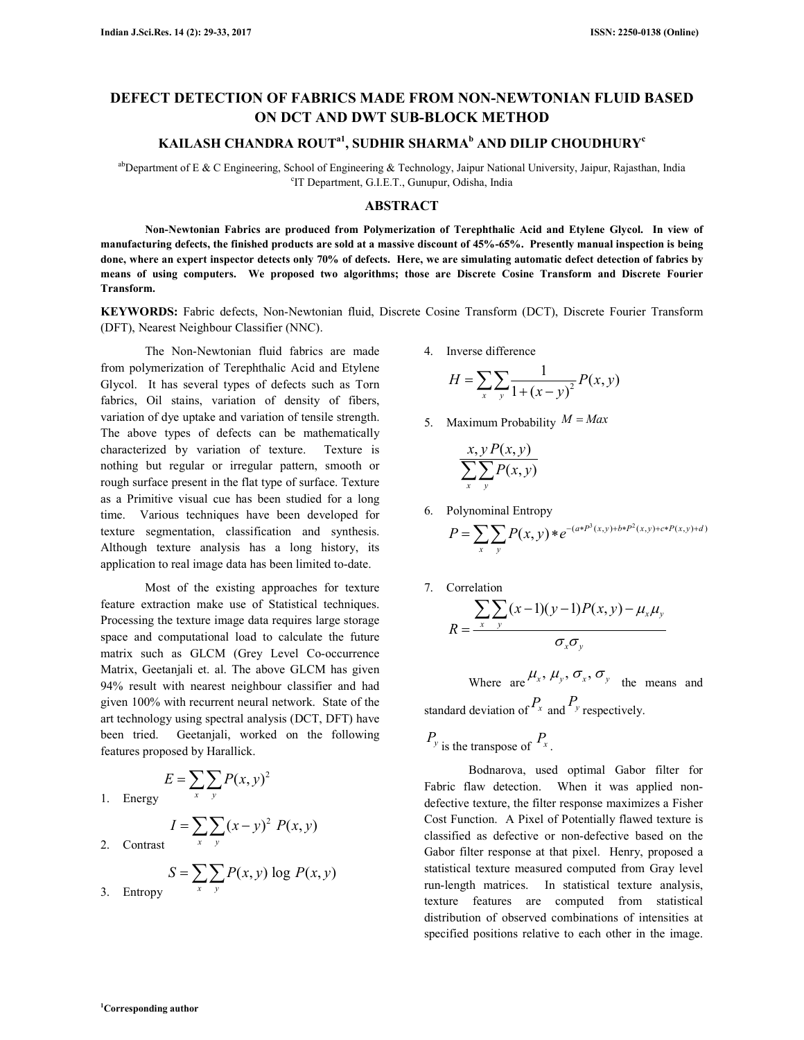# **DEFECT DETECTION OF FABRICS MADE FROM NON-NEWTONIAN FLUID BASED ON DCT AND DWT SUB-BLOCK METHOD**

## **KAILASH CHANDRA ROUTa1, SUDHIR SHARMA<sup>b</sup> AND DILIP CHOUDHURY<sup>c</sup>**

abDepartment of E & C Engineering, School of Engineering & Technology, Jaipur National University, Jaipur, Rajasthan, India c IT Department, G.I.E.T., Gunupur, Odisha, India

### **ABSTRACT**

 **Non-Newtonian Fabrics are produced from Polymerization of Terephthalic Acid and Etylene Glycol. In view of manufacturing defects, the finished products are sold at a massive discount of 45%-65%. Presently manual inspection is being done, where an expert inspector detects only 70% of defects. Here, we are simulating automatic defect detection of fabrics by means of using computers. We proposed two algorithms; those are Discrete Cosine Transform and Discrete Fourier Transform.** 

**KEYWORDS:** Fabric defects, Non-Newtonian fluid, Discrete Cosine Transform (DCT), Discrete Fourier Transform (DFT), Nearest Neighbour Classifier (NNC).

 The Non-Newtonian fluid fabrics are made from polymerization of Terephthalic Acid and Etylene Glycol. It has several types of defects such as Torn fabrics, Oil stains, variation of density of fibers, variation of dye uptake and variation of tensile strength. The above types of defects can be mathematically characterized by variation of texture. Texture is nothing but regular or irregular pattern, smooth or rough surface present in the flat type of surface. Texture as a Primitive visual cue has been studied for a long time. Various techniques have been developed for texture segmentation, classification and synthesis. Although texture analysis has a long history, its application to real image data has been limited to-date.

 Most of the existing approaches for texture feature extraction make use of Statistical techniques. Processing the texture image data requires large storage space and computational load to calculate the future matrix such as GLCM (Grey Level Co-occurrence Matrix, Geetanjali et. al. The above GLCM has given 94% result with nearest neighbour classifier and had given 100% with recurrent neural network. State of the art technology using spectral analysis (DCT, DFT) have been tried. Geetanjali, worked on the following features proposed by Harallick.

1. Energy  
\n1. Energy  
\n2. Contrast  
\n
$$
E = \sum_{x} \sum_{y} P(x, y)^2
$$
\n2. Contrast  
\n
$$
S = \sum_{x} \sum_{y} P(x, y) \log P(x, y)
$$

3. Entropy

4. Inverse difference

$$
H = \sum_{x} \sum_{y} \frac{1}{1 + (x - y)^2} P(x, y)
$$

5. Maximum Probability  $M = Max$ 

$$
\frac{x, y P(x, y)}{\sum_{x} \sum_{y} P(x, y)}
$$

6. Polynominal Entropy

$$
P = \sum_{x} \sum_{y} P(x, y) * e^{-(a*P^{3}(x, y) + b*P^{2}(x, y) + c*P(x, y) + d)}
$$

7. Correlation

$$
R = \frac{\sum_{x} \sum_{y} (x-1)(y-1)P(x, y) - \mu_{x} \mu_{y}}{\sigma_{x} \sigma_{y}}
$$

Where  $_{\text{are}} \mu_x, \mu_y, \sigma_x, \sigma_y$  the means and standard deviation of  $P_x$  and  $P_y$  respectively.

$$
P_{y \text{ is the transpose of}} P_{x}.
$$

 Bodnarova, used optimal Gabor filter for Fabric flaw detection. When it was applied nondefective texture, the filter response maximizes a Fisher Cost Function. A Pixel of Potentially flawed texture is classified as defective or non-defective based on the Gabor filter response at that pixel. Henry, proposed a statistical texture measured computed from Gray level run-length matrices. In statistical texture analysis, texture features are computed from statistical distribution of observed combinations of intensities at specified positions relative to each other in the image.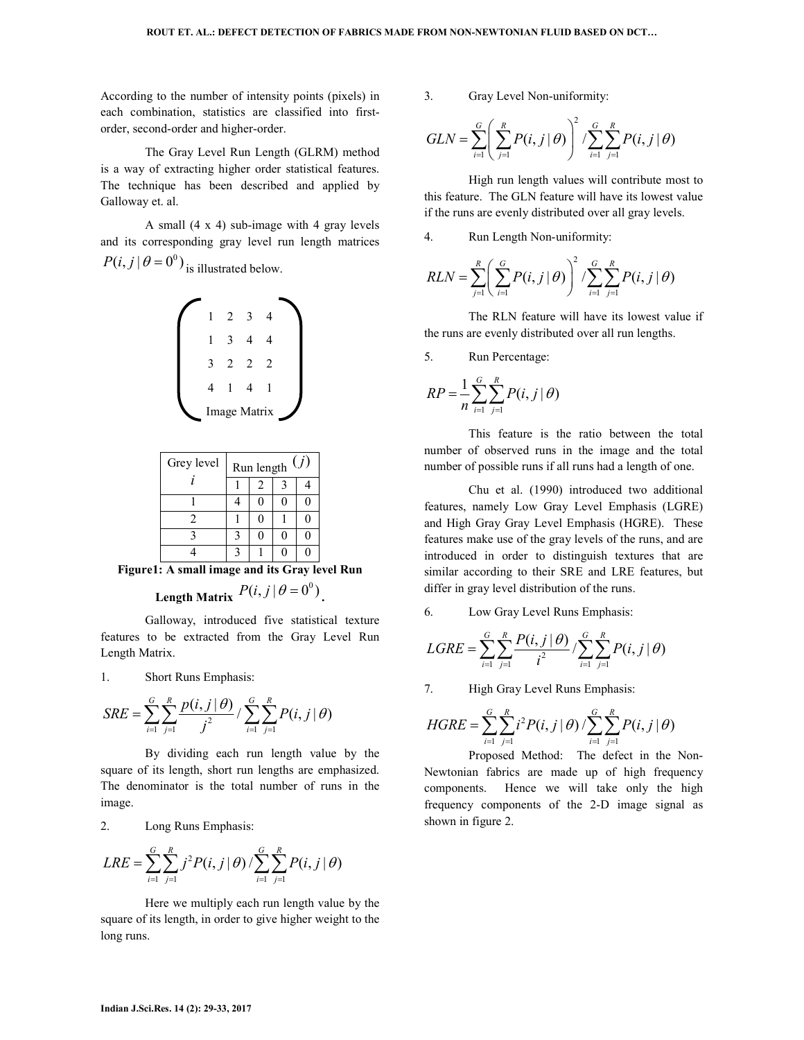According to the number of intensity points (pixels) in each combination, statistics are classified into firstorder, second-order and higher-order.

 The Gray Level Run Length (GLRM) method is a way of extracting higher order statistical features. The technique has been described and applied by Galloway et. al.

 A small (4 x 4) sub-image with 4 gray levels and its corresponding gray level run length matrices  $P(i, j | \theta = 0^0)$  is illustrated below.



| Grey level | (j)<br>Run length |  |  |  |
|------------|-------------------|--|--|--|
|            |                   |  |  |  |
|            |                   |  |  |  |
| 7          |                   |  |  |  |
|            |                   |  |  |  |
|            |                   |  |  |  |

**Figure1: A small image and its Gray level Run** 

# Length Matrix  $P(i, j | \theta = 0^0)$ .

 Galloway, introduced five statistical texture features to be extracted from the Gray Level Run Length Matrix.

1. Short Runs Emphasis:

$$
SRE = \sum_{i=1}^{G} \sum_{j=1}^{R} \frac{p(i, j | \theta)}{j^2} / \sum_{i=1}^{G} \sum_{j=1}^{R} P(i, j | \theta)
$$

 By dividing each run length value by the square of its length, short run lengths are emphasized. The denominator is the total number of runs in the image.

2. Long Runs Emphasis:

$$
LRE = \sum_{i=1}^{G} \sum_{j=1}^{R} j^{2} P(i, j | \theta) / \sum_{i=1}^{G} \sum_{j=1}^{R} P(i, j | \theta)
$$

 Here we multiply each run length value by the square of its length, in order to give higher weight to the long runs.

3. Gray Level Non-uniformity:

$$
GLN = \sum_{i=1}^{G} \left( \sum_{j=1}^{R} P(i, j \mid \theta) \right)^2 / \sum_{i=1}^{G} \sum_{j=1}^{R} P(i, j \mid \theta)
$$

 High run length values will contribute most to this feature. The GLN feature will have its lowest value if the runs are evenly distributed over all gray levels.

4. Run Length Non-uniformity:

$$
RLN = \sum_{j=1}^{R} \left( \sum_{i=1}^{G} P(i, j | \theta) \right)^2 / \sum_{i=1}^{G} \sum_{j=1}^{R} P(i, j | \theta)
$$

 The RLN feature will have its lowest value if the runs are evenly distributed over all run lengths.

5. Run Percentage:

$$
RP = \frac{1}{n} \sum_{i=1}^{G} \sum_{j=1}^{R} P(i, j | \theta)
$$

 This feature is the ratio between the total number of observed runs in the image and the total number of possible runs if all runs had a length of one.

 Chu et al. (1990) introduced two additional features, namely Low Gray Level Emphasis (LGRE) and High Gray Gray Level Emphasis (HGRE). These features make use of the gray levels of the runs, and are introduced in order to distinguish textures that are similar according to their SRE and LRE features, but differ in gray level distribution of the runs.

6. Low Gray Level Runs Emphasis:

$$
LGRE = \sum_{i=1}^{G} \sum_{j=1}^{R} \frac{P(i, j | \theta)}{i^2} / \sum_{i=1}^{G} \sum_{j=1}^{R} P(i, j | \theta)
$$

7. High Gray Level Runs Emphasis:

$$
HGRE = \sum_{i=1}^{G} \sum_{j=1}^{R} i^{2} P(i, j | \theta) / \sum_{i=1}^{G} \sum_{j=1}^{R} P(i, j | \theta)
$$

 Proposed Method: The defect in the Non-Newtonian fabrics are made up of high frequency components. Hence we will take only the high frequency components of the 2-D image signal as shown in figure 2.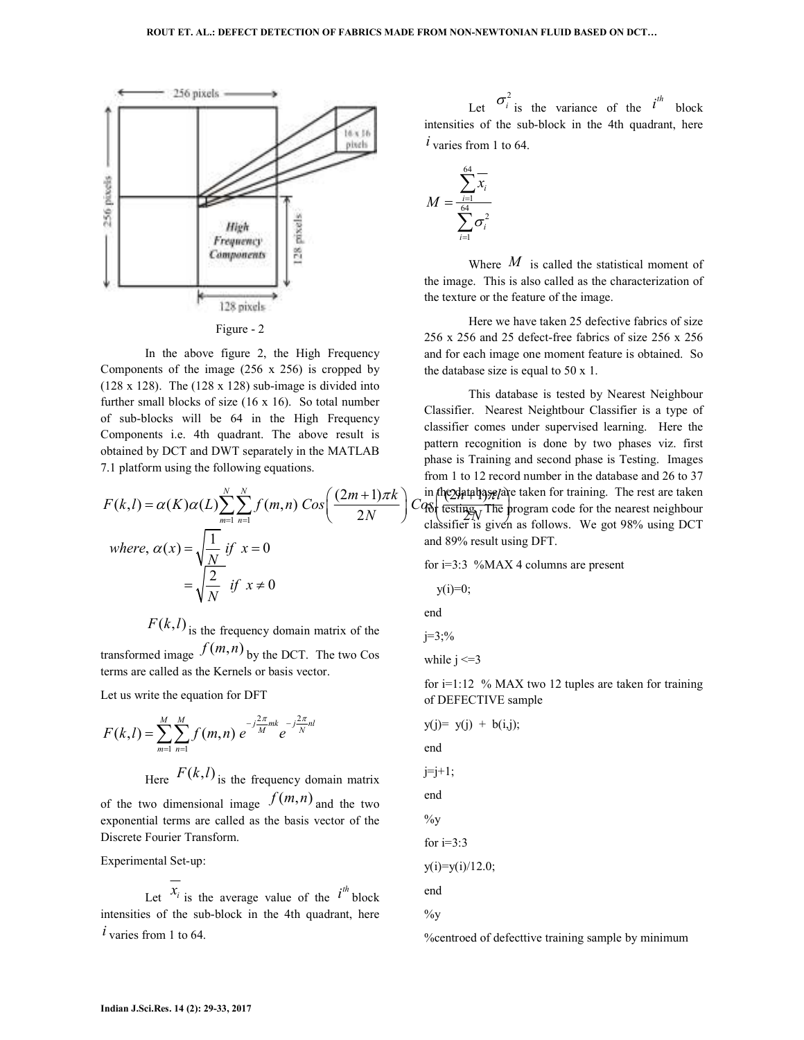



 In the above figure 2, the High Frequency Components of the image (256 x 256) is cropped by (128 x 128). The  $(128 \times 128)$  sub-image is divided into further small blocks of size (16 x 16). So total number of sub-blocks will be 64 in the High Frequency Components i.e. 4th quadrant. The above result is obtained by DCT and DWT separately in the MATLAB 7.1 platform using the following equations.

$$
F(k,l) = \alpha(K)\alpha(L)\sum_{m=1}^{N}\sum_{n=1}^{N} f(m,n) \cos\left(\frac{(2m+1)\pi k}{2N}\right) C_{\text{Q6}}^{\text{in}} \text{ (testing-2) and (e.g.)} \text{ The inverse of the system is given}
$$
\n
$$
where, \alpha(x) = \sqrt{\frac{1}{N}} \text{ if } x = 0
$$
\n
$$
= \sqrt{\frac{2}{N}} \text{ if } x \neq 0
$$
\n
$$
= \sqrt{\frac{2}{N}} \text{ if } x \neq 0
$$
\n
$$
y(i) = 0;
$$

 $F(k, l)$  is the frequency domain matrix of the

transformed image  $f(m,n)$  by the DCT. The two Cos terms are called as the Kernels or basis vector.

Let us write the equation for DFT

$$
F(k,l) = \sum_{m=1}^{M} \sum_{n=1}^{M} f(m,n) e^{-j\frac{2\pi}{M}mk} e^{-j\frac{2\pi}{N}nl}
$$

Here  $F(k, l)$  is the frequency domain matrix

of the two dimensional image  $f(m,n)$  and the two exponential terms are called as the basis vector of the Discrete Fourier Transform.

Experimental Set-up:

Let  $x_i$  is the average value of the  $i^{th}$  block intensities of the sub-block in the 4th quadrant, here  *varies from 1 to 64.* 

Let  $\sigma_i^2$  is the variance of the *i*<sup>th</sup> block intensities of the sub-block in the 4th quadrant, here  *varies from 1 to 64.* 

$$
M = \frac{\sum_{i=1}^{64} x_i}{\sum_{i=1}^{64} \sigma_i^2}
$$

 Where *M* is called the statistical moment of the image. This is also called as the characterization of the texture or the feature of the image.

 Here we have taken 25 defective fabrics of size 256 x 256 and 25 defect-free fabrics of size 256 x 256 and for each image one moment feature is obtained. So the database size is equal to 50 x 1.

 $= \alpha(K)\alpha(L)\sum_{m=1}^{\infty}\sum_{n=1}^{\infty}f(m,n)\cos\left(\frac{(2m+1)\pi K}{2N}\right)$   $C_{\text{Q6}}^{\text{m}}$  (esting The program code for the nearest neighbour  $\int (2m+1)\pi k \int$  in the data base are taken for training. The rest are taken This database is tested by Nearest Neighbour Classifier. Nearest Neightbour Classifier is a type of classifier comes under supervised learning. Here the pattern recognition is done by two phases viz. first phase is Training and second phase is Testing. Images from 1 to 12 record number in the database and 26 to 37 classifier is given as follows. We got 98% using DCT and 89% result using DFT.

for i=3:3 %MAX 4 columns are present

$$
y(i)=0;
$$

end

$$
j=3\, \frac{9}{6}
$$

while  $i \leq 3$ 

for i=1:12 % MAX two 12 tuples are taken for training of DEFECTIVE sample

$$
y(j) = y(j) + b(i,j);
$$
  
end  

$$
j=j+1;
$$
  
end  

$$
\%y
$$
  
for i=3:3  

$$
y(i)=y(i)/12.0;
$$
  
end  

$$
\%y
$$

 $\sqrt{2}$  +  $\sqrt{2}$ 

%centroed of defecttive training sample by minimum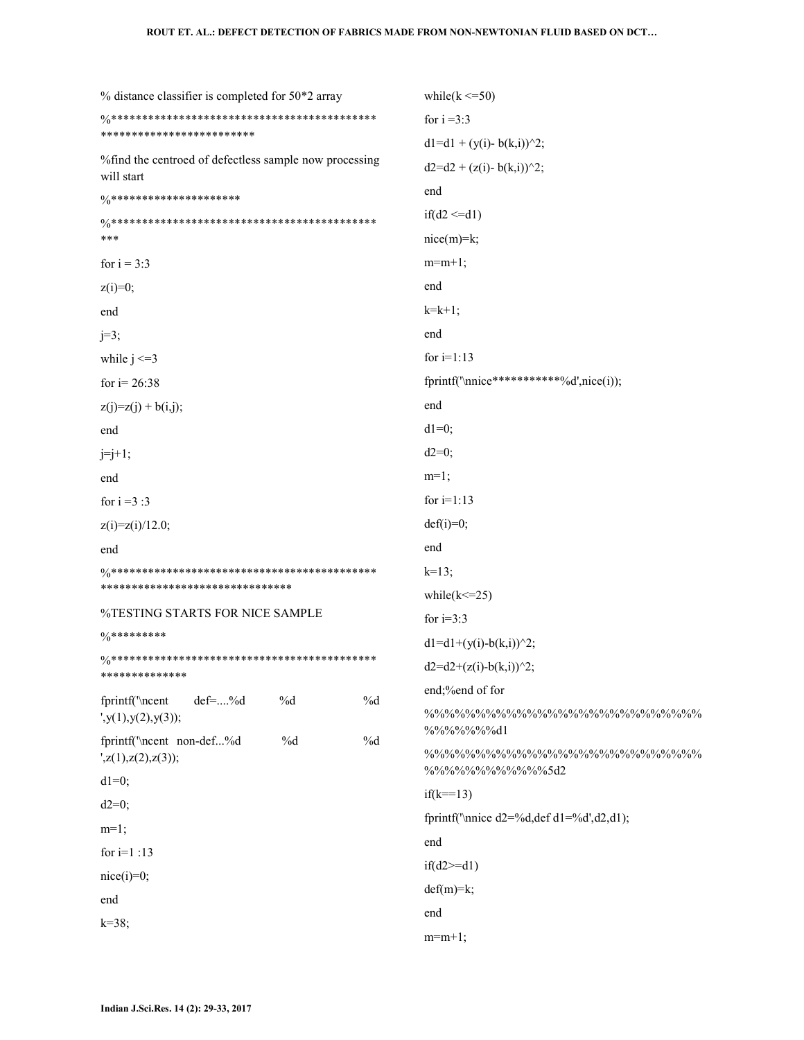| $%$ distance classifier is completed for 50 $*$ 2 array                   | while( $k \le 50$ )                                     |  |  |
|---------------------------------------------------------------------------|---------------------------------------------------------|--|--|
|                                                                           | for $i = 3:3$                                           |  |  |
| ************************                                                  | $d1 = d1 + (y(i) - b(k,i))^2;$                          |  |  |
| %find the centroed of defectless sample now processing<br>will start      | $d2 = d2 + (z(i) - b(k,i))^2;$                          |  |  |
| $\frac{0}{0}$ *********************                                       | end                                                     |  |  |
|                                                                           | $if(d2 \le d1)$                                         |  |  |
| ***                                                                       | $nice(m)=k;$                                            |  |  |
| for $i = 3:3$                                                             | $m=m+1$ ;                                               |  |  |
| $z(i)=0;$                                                                 | end                                                     |  |  |
| end                                                                       | $k=k+1;$                                                |  |  |
| $j=3;$                                                                    | end                                                     |  |  |
| while $j \leq 3$                                                          | for $i=1:13$                                            |  |  |
| for $i = 26:38$                                                           | fprintf('\nnice************%d',nice(i));                |  |  |
| $z(j)=z(j) + b(i,j);$                                                     | end                                                     |  |  |
| end                                                                       | $dl=0$ ;                                                |  |  |
| $j=j+1;$                                                                  | $d2=0;$                                                 |  |  |
| end                                                                       | $m=1$ ;                                                 |  |  |
| for $i = 3:3$                                                             | for $i=1:13$                                            |  |  |
| $z(i)=z(i)/12.0;$                                                         | $def(i)=0;$                                             |  |  |
| end                                                                       | end                                                     |  |  |
|                                                                           | $k=13$ ;                                                |  |  |
| ******************************                                            | while $(k \le 25)$                                      |  |  |
| %TESTING STARTS FOR NICE SAMPLE                                           | for $i=3:3$                                             |  |  |
| $\frac{0}{0}$ *********                                                   | $d1 = d1 + (y(i)-b(k,i))^2;$                            |  |  |
| **************                                                            | $d2 = d2 + (z(i)-b(k,i))$ <sup>2</sup> ;                |  |  |
| fprintf('\ncent<br>%d<br>$\%d$<br>$def=%d$                                | end;%end of for                                         |  |  |
| $y(1),y(2),y(3)$ ;                                                        | %%%%%%%dl                                               |  |  |
| fprintf('\ncent non-def%d<br>%d<br>%d<br>$\langle z(1),z(2),z(3)\rangle;$ | %%%%%%%%%%%%5d2                                         |  |  |
| $dl=0;$                                                                   | $if(k=13)$                                              |  |  |
| $d2=0;$                                                                   | fprintf("\nnice $d2 = \%d$ , def $d1 = \%d', d2, d1$ ); |  |  |
| $m=1$ ;                                                                   | end                                                     |  |  |
| for $i=1:13$                                                              | $if(d2>=d1)$                                            |  |  |
| $nice(i)=0;$                                                              | $def(m)=k;$                                             |  |  |
| end                                                                       | end                                                     |  |  |
| $k = 38;$                                                                 | $m=m+1$ ;                                               |  |  |